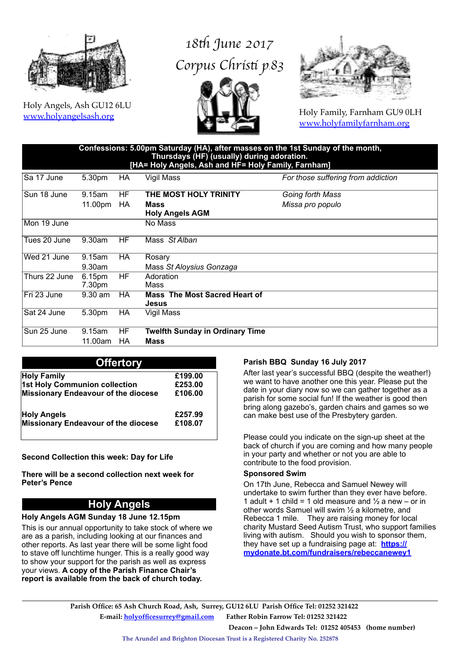

Holy Angels, Ash GU12 6LU [www.holyangelsash.org](http://www.holyangelsash.org)

# *18*t *June 2017 Corpus Chris*t *p.83*





Holy Family, Farnham GU9 0LH [www.holyfamilyfarnham.org](http://www.holyfamilyfarnham.org)

| Confessions: 5.00pm Saturday (HA), after masses on the 1st Sunday of the month,<br>Thursdays (HF) (usually) during adoration.<br>[HA= Holy Angels, Ash and HF= Holy Family, Farnham] |           |           |                                                      |                                    |  |
|--------------------------------------------------------------------------------------------------------------------------------------------------------------------------------------|-----------|-----------|------------------------------------------------------|------------------------------------|--|
| Sa 17 June                                                                                                                                                                           | 5.30pm    | HA        | Vigil Mass                                           | For those suffering from addiction |  |
| Sun 18 June                                                                                                                                                                          | 9.15am    | HF        | THE MOST HOLY TRINITY                                | Going forth Mass                   |  |
|                                                                                                                                                                                      | 11.00pm   | HA        | Mass<br><b>Holy Angels AGM</b>                       | Missa pro populo                   |  |
| Mon 19 June                                                                                                                                                                          |           |           | No Mass                                              |                                    |  |
| Tues 20 June                                                                                                                                                                         | 9.30am    | HF        | Mass St Alban                                        |                                    |  |
| Wed 21 June                                                                                                                                                                          | 9.15am    | <b>HA</b> | Rosary                                               |                                    |  |
|                                                                                                                                                                                      | $9.30$ am |           | Mass St Aloysius Gonzaga                             |                                    |  |
| Thurs 22 June                                                                                                                                                                        | 6.15pm    | HF        | Adoration                                            |                                    |  |
|                                                                                                                                                                                      | 7.30pm    |           | Mass                                                 |                                    |  |
| Fri 23 June                                                                                                                                                                          | $9.30$ am | НA        | <b>Mass The Most Sacred Heart of</b><br><b>Jesus</b> |                                    |  |
| Sat 24 June                                                                                                                                                                          | 5.30pm    | HA        | Vigil Mass                                           |                                    |  |
| Sun 25 June                                                                                                                                                                          | 9.15am    | HF        | <b>Twelfth Sunday in Ordinary Time</b>               |                                    |  |
|                                                                                                                                                                                      | 11.00am   | НA        | <b>Mass</b>                                          |                                    |  |

#### **Offertory**

| <b>Holy Family</b>                  | £199.00 |
|-------------------------------------|---------|
| 1st Holy Communion collection       | £253.00 |
| Missionary Endeavour of the diocese | £106.00 |
| <b>Holy Angels</b>                  | £257.99 |
| Missionary Endeavour of the diocese | £108.07 |

#### **Second Collection this week: Day for Life**

**There will be a second collection next week for Peter's Pence**

## **Holy Angels**

#### **Holy Angels AGM Sunday 18 June 12.15pm**

This is our annual opportunity to take stock of where we are as a parish, including looking at our finances and other reports. As last year there will be some light food to stave off lunchtime hunger. This is a really good way to show your support for the parish as well as express your views. **A copy of the Parish Finance Chair's report is available from the back of church today.**

#### **Parish BBQ Sunday 16 July 2017**

After last year's successful BBQ (despite the weather!) we want to have another one this year. Please put the date in your diary now so we can gather together as a parish for some social fun! If the weather is good then bring along gazebo's, garden chairs and games so we can make best use of the Presbytery garden.

Please could you indicate on the sign-up sheet at the back of church if you are coming and how many people in your party and whether or not you are able to contribute to the food provision.

#### **Sponsored Swim**

On 17th June, Rebecca and Samuel Newey will undertake to swim further than they ever have before. 1 adult + 1 child = 1 old measure and  $\frac{1}{2}$  a new – or in other words Samuel will swim ½ a kilometre, and Rebecca 1 mile. They are raising money for local charity Mustard Seed Autism Trust, who support families living with autism. Should you wish to sponsor them, they have set up a fundraising page at: **[https://](https://mydonate.bt.com/fundraisers/rebeccanewey1) [mydonate.bt.com/fundraisers/rebeccanewey1](https://mydonate.bt.com/fundraisers/rebeccanewey1)**

**The Arundel and Brighton Diocesan Trust is a Registered Charity No. 252878**